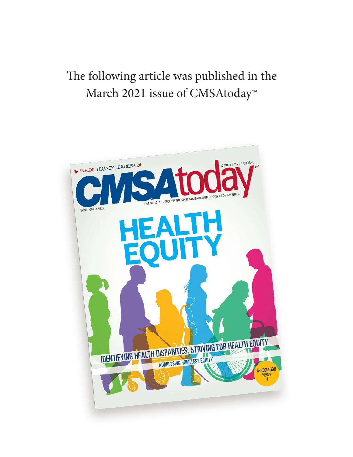# The following article was published in the March 2021 issue of CMSAtoday<sup>™</sup>

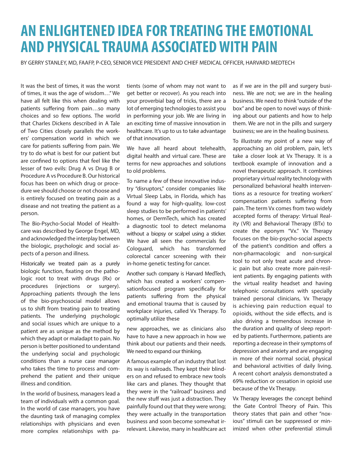# **AN ENLIGHTENED IDEA FOR TREATING THE EMOTIONAL AND PHYSICAL TRAUMA ASSOCIATED WITH PAIN**

BY GERRY STANLEY, MD, FAAFP, P-CEO, SENIOR VICE PRESIDENT AND CHIEF MEDICAL OFFICER, HARVARD MEDTECH

It was the best of times, it was the worst of times, it was the age of wisdom…" We have all felt like this when dealing with patients suffering from pain…so many choices and so few options. The world that Charles Dickens described in A Tale of Two Cities closely parallels the workers' compensation world in which we care for patients suffering from pain. We try to do what is best for our patient but are confined to options that feel like the lesser of two evils: Drug A vs Drug B or Procedure A vs Procedure B. Our historical focus has been on which drug or procedure we should choose or not choose and is entirely focused on treating pain as a disease and not treating the patient as a person.

The Bio-Psycho-Social Model of Healthcare was described by George Engel, MD, and acknowledged the interplay between the biologic, psychologic and social aspects of a person and illness.

Historically we treated pain as a purely biologic function, fixating on the pathologic root to treat with drugs (Rx) or procedures (injections or surgery). Approaching patients through the lens of the bio-psychosocial model allows us to shift from treating pain to treating patients. The underlying psychologic and social issues which are unique to a patient are as unique as the method by which they adapt or maladapt to pain. No person is better positioned to understand the underlying social and psychologic conditions than a nurse case manager who takes the time to process and comprehend the patient and their unique illness and condition.

In the world of business, managers lead a team of individuals with a common goal. In the world of case managers, you have the daunting task of managing complex relationships with physicians and even more complex relationships with patients (some of whom may not want to get better or recover). As you reach into your proverbial bag of tricks, there are a lot of emerging technologies to assist you in performing your job. We are living in an exciting time of massive innovation in healthcare. It's up to us to take advantage of that innovation.

We have all heard about telehealth, digital health and virtual care. These are terms for new approaches and solutions to old problems.

To name a few of these innovative industry "disruptors," consider companies like Virtual Sleep Labs, in Florida, which has found a way for high-quality, low-cost sleep studies to be performed in patients' homes, or DermTech, which has created a diagnostic tool to detect melanoma without a biopsy or scalpel using a sticker. We have all seen the commercials for Cologuard, which has transformed colorectal cancer screening with their in-home genetic testing for cancer.

Another such company is Harvard MedTech, which has created a workers' compensationfocused program specifically for patients suffering from the physical and emotional trauma that is caused by workplace injuries, called Vx Therapy. To optimally utilize these

new approaches, we as clinicians also have to have a new approach in how we think about our patients and their needs. We need to expand our thinking.

A famous example of an industry that lost its way is railroads. They kept their blinders on and refused to embrace new tools like cars and planes. They thought that they were in the "railroad" business and the new stuff was just a distraction. They painfully found out that they were wrong; they were actually in the transportation business and soon become somewhat irrelevant. Likewise, many in healthcare act as if we are in the pill and surgery business. We are not; we are in the healing business. We need to think "outside of the box" and be open to novel ways of thinking about our patients and how to help them. We are not in the pills and surgery business; we are in the healing business.

To illustrate my point of a new way of approaching an old problem, pain, let's take a closer look at Vx Therapy. It is a textbook example of innovation and a novel therapeutic approach. It combines proprietary virtual reality technology with personalized behavioral health interventions as a resource for treating workers' compensation patients suffering from pain. The term Vx comes from two widely accepted forms of therapy: Virtual Reality (VR) and Behavioral Therapy (BTx) to create the eponym "Vx." Vx Therapy focuses on the bio-psycho-social aspects of the patient's condition and offers a non-pharmacologic and non-surgical tool to not only treat acute and chronic pain but also create more pain-resilient patients. By engaging patients with the virtual reality headset and having telephonic consultations with specially trained personal clinicians, Vx Therapy is achieving pain reduction equal to opioids, without the side effects, and is also driving a tremendous increase in the duration and quality of sleep reported by patients. Furthermore, patients are reporting a decrease in their symptoms of depression and anxiety and are engaging in more of their normal social, physical and behavioral activities of daily living. A recent cohort analysis demonstrated a 69% reduction or cessation in opioid use because of the Vx Therapy.

Vx Therapy leverages the concept behind the Gate Control Theory of Pain. This theory states that pain and other "noxious" stimuli can be suppressed or minimized when other preferential stimuli